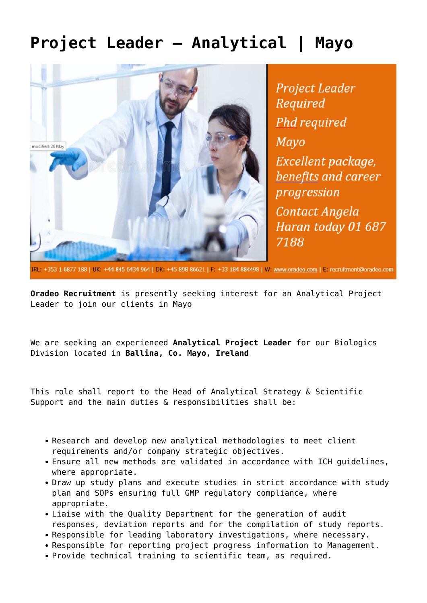## **[Project Leader – Analytical | Mayo](https://oradeo.com/job/project-leader-analytical-mayo/)**



**Project Leader** Required **Phd required Mayo** Excellent package, benefits and career progression Contact Angela Haran today 01 687 7188

IRL: +353 1 6877 188 | UK: +44 845 6434 964 | DK: +45 898 86621 | F: +33 184 884498 | W: www.oradeo.com | E: recruitment@oradeo.com

**Oradeo Recruitment** is presently seeking interest for an Analytical Project Leader to join our clients in Mayo

We are seeking an experienced **Analytical Project Leader** for our Biologics Division located in **Ballina, Co. Mayo, Ireland**

This role shall report to the Head of Analytical Strategy & Scientific Support and the main duties & responsibilities shall be:

- Research and develop new analytical methodologies to meet client requirements and/or company strategic objectives.
- Ensure all new methods are validated in accordance with ICH guidelines, where appropriate.
- Draw up study plans and execute studies in strict accordance with study plan and SOPs ensuring full GMP regulatory compliance, where appropriate.
- Liaise with the Quality Department for the generation of audit responses, deviation reports and for the compilation of study reports.
- Responsible for leading laboratory investigations, where necessary.
- Responsible for reporting project progress information to Management.
- Provide technical training to scientific team, as required.